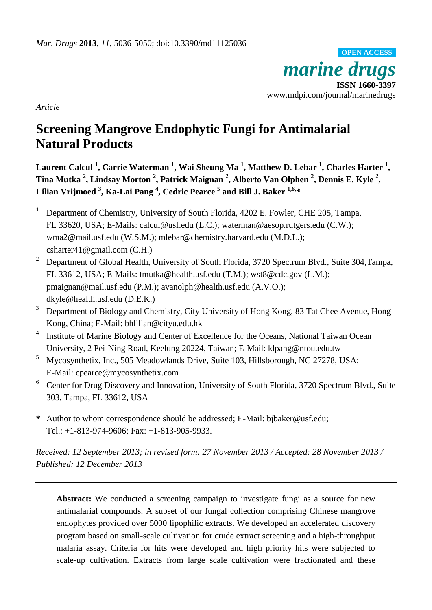*marine drugs* **ISSN 1660-3397** www.mdpi.com/journal/marinedrugs **OPEN ACCESS**

*Article*

# **Screening Mangrove Endophytic Fungi for Antimalarial Natural Products**

**Laurent Calcul <sup>1</sup> , Carrie Waterman <sup>1</sup> , Wai Sheung Ma <sup>1</sup> , Matthew D. Lebar <sup>1</sup> , Charles Harter <sup>1</sup> , Tina Mutka <sup>2</sup> , Lindsay Morton <sup>2</sup> , Patrick Maignan <sup>2</sup> , Alberto Van Olphen <sup>2</sup> , Dennis E. Kyle <sup>2</sup> , Lilian Vrijmoed <sup>3</sup> , Ka-Lai Pang <sup>4</sup> , Cedric Pearce <sup>5</sup> and Bill J. Baker 1,6, \***

- <sup>1</sup> Department of Chemistry, University of South Florida, 4202 E. Fowler, CHE 205, Tampa, FL 33620, USA; E-Mails: calcul@usf.edu (L.C.); waterman@aesop.rutgers.edu (C.W.); wma2@mail.usf.edu (W.S.M.); mlebar@chemistry.harvard.edu (M.D.L.); csharter41@gmail.com (C.H.)
- <sup>2</sup> Department of Global Health, University of South Florida, 3720 Spectrum Blvd., Suite 304, Tampa, FL 33612, USA; E-Mails: tmutka@health.usf.edu (T.M.); wst8@cdc.gov (L.M.); pmaignan@mail.usf.edu (P.M.); avanolph@health.usf.edu (A.V.O.); dkyle@health.usf.edu (D.E.K.)
- <sup>3</sup> Department of Biology and Chemistry, City University of Hong Kong, 83 Tat Chee Avenue, Hong Kong, China; E-Mail: bhlilian@cityu.edu.hk
- 4 Institute of Marine Biology and Center of Excellence for the Oceans, National Taiwan Ocean University, 2 Pei-Ning Road, Keelung 20224, Taiwan; E-Mail: klpang@ntou.edu.tw
- <sup>5</sup> Mycosynthetix, Inc., 505 Meadowlands Drive, Suite 103, Hillsborough, NC 27278, USA; E-Mail: cpearce@mycosynthetix.com
- <sup>6</sup> Center for Drug Discovery and Innovation, University of South Florida, 3720 Spectrum Blvd., Suite 303, Tampa, FL 33612, USA
- **\*** Author to whom correspondence should be addressed; E-Mail: bjbaker@usf.edu; Tel.: +1-813-974-9606; Fax: +1-813-905-9933.

*Received: 12 September 2013; in revised form: 27 November 2013 / Accepted: 28 November 2013 / Published: 12 December 2013*

**Abstract:** We conducted a screening campaign to investigate fungi as a source for new antimalarial compounds. A subset of our fungal collection comprising Chinese mangrove endophytes provided over 5000 lipophilic extracts. We developed an accelerated discovery program based on small-scale cultivation for crude extract screening and a high-throughput malaria assay. Criteria for hits were developed and high priority hits were subjected to scale-up cultivation. Extracts from large scale cultivation were fractionated and these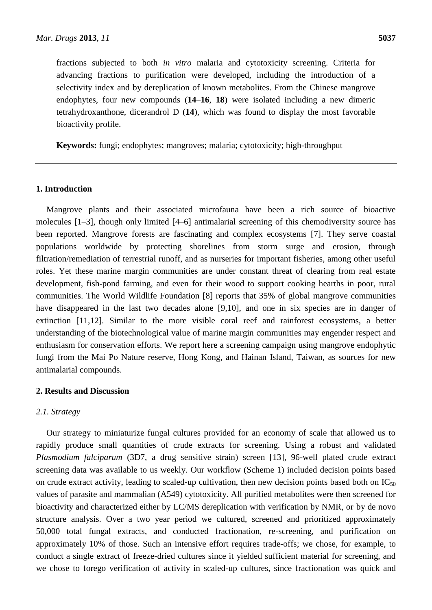fractions subjected to both *in vitro* malaria and cytotoxicity screening. Criteria for advancing fractions to purification were developed, including the introduction of a selectivity index and by dereplication of known metabolites. From the Chinese mangrove endophytes, four new compounds (**14**–**16**, **18**) were isolated including a new dimeric tetrahydroxanthone, dicerandrol D (**14**), which was found to display the most favorable bioactivity profile.

**Keywords:** fungi; endophytes; mangroves; malaria; cytotoxicity; high-throughput

## **1. Introduction**

Mangrove plants and their associated microfauna have been a rich source of bioactive molecules [1–3], though only limited [4–6] antimalarial screening of this chemodiversity source has been reported. Mangrove forests are fascinating and complex ecosystems [7]. They serve coastal populations worldwide by protecting shorelines from storm surge and erosion, through filtration/remediation of terrestrial runoff, and as nurseries for important fisheries, among other useful roles. Yet these marine margin communities are under constant threat of clearing from real estate development, fish-pond farming, and even for their wood to support cooking hearths in poor, rural communities. The World Wildlife Foundation [8] reports that 35% of global mangrove communities have disappeared in the last two decades alone [9,10], and one in six species are in danger of extinction [11,12]. Similar to the more visible coral reef and rainforest ecosystems, a better understanding of the biotechnological value of marine margin communities may engender respect and enthusiasm for conservation efforts. We report here a screening campaign using mangrove endophytic fungi from the Mai Po Nature reserve, Hong Kong, and Hainan Island, Taiwan, as sources for new antimalarial compounds.

#### **2. Results and Discussion**

#### *2.1. Strategy*

Our strategy to miniaturize fungal cultures provided for an economy of scale that allowed us to rapidly produce small quantities of crude extracts for screening. Using a robust and validated *Plasmodium falciparum* (3D7, a drug sensitive strain) screen [13], 96-well plated crude extract screening data was available to us weekly. Our workflow (Scheme 1) included decision points based on crude extract activity, leading to scaled-up cultivation, then new decision points based both on  $IC_{50}$ values of parasite and mammalian (A549) cytotoxicity. All purified metabolites were then screened for bioactivity and characterized either by LC/MS dereplication with verification by NMR, or by de novo structure analysis. Over a two year period we cultured, screened and prioritized approximately 50,000 total fungal extracts, and conducted fractionation, re-screening, and purification on approximately 10% of those. Such an intensive effort requires trade-offs; we chose, for example, to conduct a single extract of freeze-dried cultures since it yielded sufficient material for screening, and we chose to forego verification of activity in scaled-up cultures, since fractionation was quick and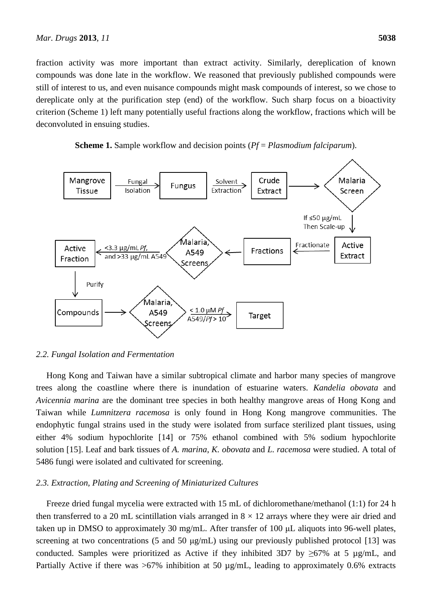fraction activity was more important than extract activity. Similarly, dereplication of known compounds was done late in the workflow. We reasoned that previously published compounds were still of interest to us, and even nuisance compounds might mask compounds of interest, so we chose to dereplicate only at the purification step (end) of the workflow. Such sharp focus on a bioactivity criterion (Scheme 1) left many potentially useful fractions along the workflow, fractions which will be deconvoluted in ensuing studies.





## *2.2. Fungal Isolation and Fermentation*

Hong Kong and Taiwan have a similar subtropical climate and harbor many species of mangrove trees along the coastline where there is inundation of estuarine waters. *Kandelia obovata* and *Avicennia marina* are the dominant tree species in both healthy mangrove areas of Hong Kong and Taiwan while *Lumnitzera racemosa* is only found in Hong Kong mangrove communities. The endophytic fungal strains used in the study were isolated from surface sterilized plant tissues, using either 4% sodium hypochlorite [14] or 75% ethanol combined with 5% sodium hypochlorite solution [15]. Leaf and bark tissues of *A. marina*, *K. obovata* and *L. racemosa* were studied. A total of 5486 fungi were isolated and cultivated for screening.

#### *2.3. Extraction, Plating and Screening of Miniaturized Cultures*

Freeze dried fungal mycelia were extracted with 15 mL of dichloromethane/methanol (1:1) for 24 h then transferred to a 20 mL scintillation vials arranged in  $8 \times 12$  arrays where they were air dried and taken up in DMSO to approximately 30 mg/mL. After transfer of 100 μL aliquots into 96-well plates, screening at two concentrations (5 and 50  $\mu$ g/mL) using our previously published protocol [13] was conducted. Samples were prioritized as Active if they inhibited 3D7 by  $\geq 67\%$  at 5 µg/mL, and Partially Active if there was >67% inhibition at 50 µg/mL, leading to approximately 0.6% extracts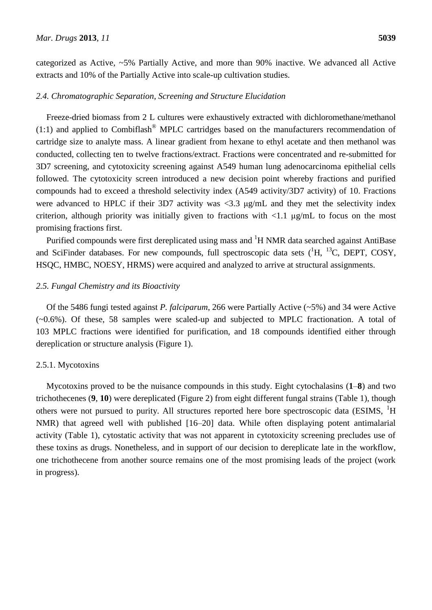categorized as Active, ~5% Partially Active, and more than 90% inactive. We advanced all Active extracts and 10% of the Partially Active into scale-up cultivation studies.

## *2.4. Chromatographic Separation, Screening and Structure Elucidation*

Freeze-dried biomass from 2 L cultures were exhaustively extracted with dichloromethane/methanol  $(1:1)$  and applied to Combiflash<sup>®</sup> MPLC cartridges based on the manufacturers recommendation of cartridge size to analyte mass. A linear gradient from hexane to ethyl acetate and then methanol was conducted, collecting ten to twelve fractions/extract. Fractions were concentrated and re-submitted for 3D7 screening, and cytotoxicity screening against A549 human lung adenocarcinoma epithelial cells followed. The cytotoxicity screen introduced a new decision point whereby fractions and purified compounds had to exceed a threshold selectivity index (A549 activity/3D7 activity) of 10. Fractions were advanced to HPLC if their 3D7 activity was  $\langle 3.3 \text{ µg/mL}$  and they met the selectivity index criterion, although priority was initially given to fractions with  $\langle 1.1 \text{ µg/mL}$  to focus on the most promising fractions first.

Purified compounds were first dereplicated using mass and  ${}^{1}H$  NMR data searched against AntiBase and SciFinder databases. For new compounds, full spectroscopic data sets  $(^1H, ^{13}C,$  DEPT, COSY, HSQC, HMBC, NOESY, HRMS) were acquired and analyzed to arrive at structural assignments.

## *2.5. Fungal Chemistry and its Bioactivity*

Of the 5486 fungi tested against *P. falciparum*, 266 were Partially Active (~5%) and 34 were Active (~0.6%). Of these, 58 samples were scaled-up and subjected to MPLC fractionation. A total of 103 MPLC fractions were identified for purification, and 18 compounds identified either through dereplication or structure analysis (Figure 1).

# 2.5.1. Mycotoxins

Mycotoxins proved to be the nuisance compounds in this study. Eight cytochalasins (**1**–**8**) and two trichothecenes (**9**, **10**) were dereplicated (Figure 2) from eight different fungal strains (Table 1), though others were not pursued to purity. All structures reported here bore spectroscopic data (ESIMS, <sup>1</sup>H) NMR) that agreed well with published [16–20] data. While often displaying potent antimalarial activity (Table 1), cytostatic activity that was not apparent in cytotoxicity screening precludes use of these toxins as drugs. Nonetheless, and in support of our decision to dereplicate late in the workflow, one trichothecene from another source remains one of the most promising leads of the project (work in progress).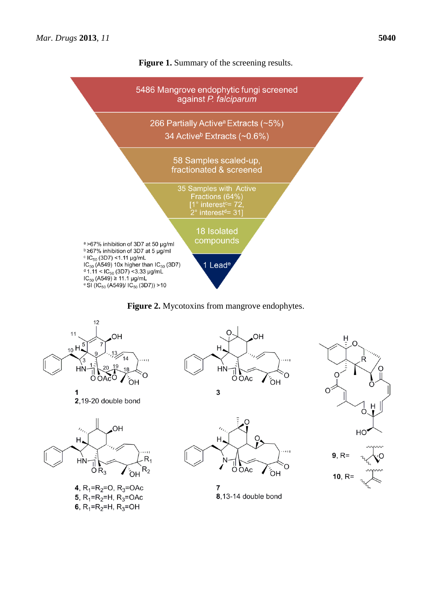



**Figure 2.** Mycotoxins from mangrove endophytes.



1 2,19-20 double bond



4,  $R_1 = R_2 = O$ ,  $R_3 = OAC$ 5,  $R_1 = R_2 = H$ ,  $R_3 = OAC$ 6,  $R_1 = R_2 = H$ ,  $R_3 = OH$ 



 $H_{4}$ N ∩ Ö OAc ÓH



Η

 $\overline{7}$ 8,13-14 double bond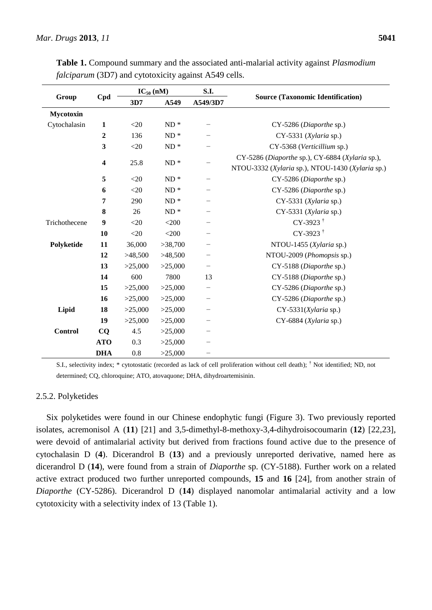|                  |                         | $IC_{50}$ (nM) |            | S.I.                    |                                                                                                     |
|------------------|-------------------------|----------------|------------|-------------------------|-----------------------------------------------------------------------------------------------------|
| Group            | Cpd                     | 3D7            | A549       | A549/3D7                | <b>Source (Taxonomic Identification)</b>                                                            |
| <b>Mycotoxin</b> |                         |                |            |                         |                                                                                                     |
| Cytochalasin     | $\mathbf{1}$            | $<20$          | $ND *$     |                         | CY-5286 (Diaporthe sp.)                                                                             |
|                  | $\overline{2}$          | 136            | $ND *$     |                         | CY-5331 (Xylaria sp.)                                                                               |
|                  | $\overline{\mathbf{3}}$ | $<20$          | $\rm ND$ * |                         | CY-5368 (Verticillium sp.)                                                                          |
|                  | 4                       | 25.8           | $\rm ND$ * |                         | CY-5286 (Diaporthe sp.), CY-6884 (Xylaria sp.),<br>NTOU-3332 (Xylaria sp.), NTOU-1430 (Xylaria sp.) |
|                  | 5<br>$<$ 20<br>$ND *$   |                |            | CY-5286 (Diaporthe sp.) |                                                                                                     |
|                  | 6                       | $<$ 20         | $\rm ND$ * |                         | CY-5286 (Diaporthe sp.)                                                                             |
|                  | 7                       | 290            | $ND *$     |                         | CY-5331 (Xylaria sp.)                                                                               |
|                  | 8                       | 26             | $\rm ND$ * |                         | CY-5331 (Xylaria sp.)                                                                               |
| Trichothecene    | 9                       | $<$ 20         | $<$ 200    |                         | $CY-3923$ <sup>†</sup>                                                                              |
|                  | 10                      | $<$ 20         | $<$ 200    |                         | $CY-3923$ <sup>†</sup>                                                                              |
| Polyketide       | 11                      | 36,000         | >38,700    |                         | NTOU-1455 (Xylaria sp.)                                                                             |
|                  | 12                      | >48,500        | >48,500    |                         | NTOU-2009 (Phomopsis sp.)                                                                           |
|                  | 13                      | >25,000        | >25,000    |                         | CY-5188 (Diaporthe sp.)                                                                             |
|                  | 14                      | 600            | 7800       | 13                      | CY-5188 (Diaporthe sp.)                                                                             |
|                  | 15                      | >25,000        | >25,000    |                         | CY-5286 (Diaporthe sp.)                                                                             |
|                  | 16                      | >25,000        | >25,000    |                         | CY-5286 (Diaporthe sp.)                                                                             |
| Lipid            | 18                      | >25,000        | >25,000    |                         | $CY-5331(Xylaria sp.)$                                                                              |
|                  | 19                      | >25,000        | >25,000    |                         | CY-6884 (Xylaria sp.)                                                                               |
| Control          | CQ                      | 4.5            | >25,000    |                         |                                                                                                     |
|                  | <b>ATO</b>              | 0.3            | >25,000    |                         |                                                                                                     |
|                  | <b>DHA</b>              | 0.8            | >25,000    |                         |                                                                                                     |

**Table 1.** Compound summary and the associated anti-malarial activity against *Plasmodium falciparum* (3D7) and cytotoxicity against A549 cells.

S.I., selectivity index; \* cytotostatic (recorded as lack of cell proliferation without cell death); † Not identified; ND, not determined; CQ, chloroquine; ATO, atovaquone; DHA, dihydroartemisinin.

#### 2.5.2. Polyketides

Six polyketides were found in our Chinese endophytic fungi (Figure 3). Two previously reported isolates, acremonisol A (**11**) [21] and 3,5-dimethyl-8-methoxy-3,4-dihydroisocoumarin (**12**) [22,23], were devoid of antimalarial activity but derived from fractions found active due to the presence of cytochalasin D (**4**). Dicerandrol B (**13**) and a previously unreported derivative, named here as dicerandrol D (**14**), were found from a strain of *Diaporthe* sp. (CY-5188). Further work on a related active extract produced two further unreported compounds, **15** and **16** [24], from another strain of *Diaporthe* (CY-5286). Dicerandrol D (**14**) displayed nanomolar antimalarial activity and a low cytotoxicity with a selectivity index of 13 (Table 1).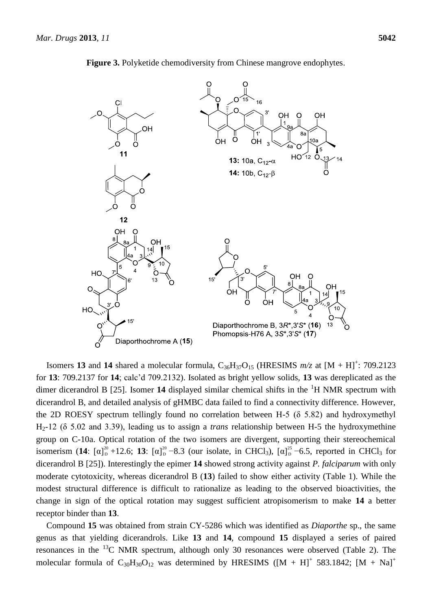

**Figure 3.** Polyketide chemodiversity from Chinese mangrove endophytes.

Isomers 13 and 14 shared a molecular formula,  $C_{36}H_{37}O_{15}$  (HRESIMS  $m/z$  at  $[M + H]^{+}$ : 709.2123 for **13**: 709.2137 for **14**; calc'd 709.2132). Isolated as bright yellow solids, **13** was dereplicated as the dimer dicerandrol B  $[25]$ . Isomer 14 displayed similar chemical shifts in the  ${}^{1}H$  NMR spectrum with dicerandrol B, and detailed analysis of gHMBC data failed to find a connectivity difference. However, the 2D ROESY spectrum tellingly found no correlation between H-5 ( $\delta$  5.82) and hydroxymethyl H2-12 (δ 5.02 and 3.39), leading us to assign a *trans* relationship between H-5 the hydroxymethine group on C-10a. Optical rotation of the two isomers are divergent, supporting their stereochemical isomerism (14:  $[\alpha]_{D}^{20}$  +12.6; 13:  $[\alpha]_{D}^{20}$  -8.3 (our isolate, in CHCl<sub>3</sub>),  $[\alpha]_{D}^{25}$  -6.5, reported in CHCl<sub>3</sub> for dicerandrol B [25]). Interestingly the epimer **14** showed strong activity against *P. falciparum* with only moderate cytotoxicity, whereas dicerandrol B (**13**) failed to show either activity (Table 1). While the modest structural difference is difficult to rationalize as leading to the observed bioactivities, the change in sign of the optical rotation may suggest sufficient atropisomerism to make **14** a better receptor binder than **13**.

Compound **15** was obtained from strain CY-5286 which was identified as *Diaporthe* sp., the same genus as that yielding dicerandrols. Like **13** and **14**, compound **15** displayed a series of paired resonances in the  $^{13}$ C NMR spectrum, although only 30 resonances were observed (Table 2). The molecular formula of  $C_{30}H_{30}O_{12}$  was determined by HRESIMS ([M + H]<sup>+</sup> 583.1842; [M + Na]<sup>+</sup>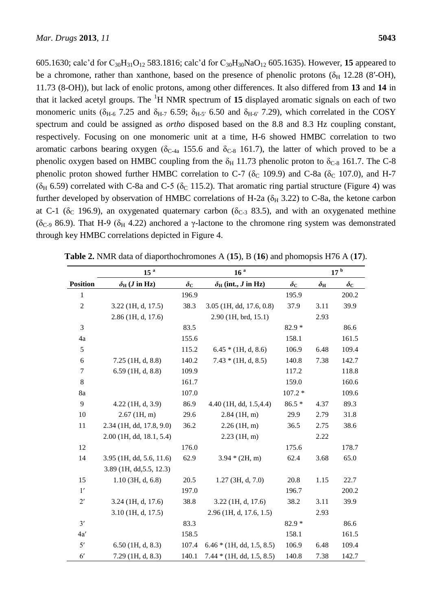605.1630; calc'd for C30H31O<sup>12</sup> 583.1816; calc'd for C30H30NaO<sup>12</sup> 605.1635). However, **15** appeared to be a chromone, rather than xanthone, based on the presence of phenolic protons ( $\delta_H$  12.28 (8'-OH), 11.73 (8-OH)), but lack of enolic protons, among other differences. It also differed from **13** and **14** in that it lacked acetyl groups. The <sup>1</sup>H NMR spectrum of **15** displayed aromatic signals on each of two monomeric units ( $\delta_{H-6}$  7.25 and  $\delta_{H-7}$  6.59;  $\delta_{H-5'}$  6.50 and  $\delta_{H-6'}$  7.29), which correlated in the COSY spectrum and could be assigned as *ortho* disposed based on the 8.8 and 8.3 Hz coupling constant, respectively. Focusing on one monomeric unit at a time, H-6 showed HMBC correlation to two aromatic carbons bearing oxygen ( $\delta_{C-4a}$  155.6 and  $\delta_{C-8}$  161.7), the latter of which proved to be a phenolic oxygen based on HMBC coupling from the  $\delta_H$  11.73 phenolic proton to  $\delta_{C-8}$  161.7. The C-8 phenolic proton showed further HMBC correlation to C-7 ( $\delta$ <sub>C</sub> 109.9) and C-8a ( $\delta$ <sub>C</sub> 107.0), and H-7 ( $\delta_H$  6.59) correlated with C-8a and C-5 ( $\delta_C$  115.2). That aromatic ring partial structure (Figure 4) was further developed by observation of HMBC correlations of H-2a ( $\delta_H$  3.22) to C-8a, the ketone carbon at C-1 ( $\delta$ <sub>C</sub> 196.9), an oxygenated quaternary carbon ( $\delta$ <sub>C-3</sub> 83.5), and with an oxygenated methine ( $\delta$ <sub>C-9</sub> 86.9). That H-9 ( $\delta$ <sub>H</sub> 4.22) anchored a γ-lactone to the chromone ring system was demonstrated through key HMBC correlations depicted in Figure 4.

|                 | 15 <sup>a</sup>                    |                  | 16 <sup>a</sup>                  |                  |                  | $17$ $^{\rm b}$  |
|-----------------|------------------------------------|------------------|----------------------------------|------------------|------------------|------------------|
| <b>Position</b> | $\delta_{\rm H}$ ( <i>J</i> in Hz) | $\delta_{\rm C}$ | $\delta_{\rm H}$ (int., J in Hz) | $\delta_{\rm C}$ | $\delta_{\rm H}$ | $\delta_{\rm C}$ |
| 1               |                                    | 196.9            |                                  | 195.9            |                  | 200.2            |
| $\overline{2}$  | $3.22$ (1H, d, 17.5)               | 38.3             | $3.05$ (1H, dd, 17.6, 0.8)       | 37.9             | 3.11             | 39.9             |
|                 | 2.86 (1H, d, 17.6)                 |                  | 2.90 (1H, brd, 15.1)             |                  | 2.93             |                  |
| 3               |                                    | 83.5             |                                  | $82.9*$          |                  | 86.6             |
| 4a              |                                    | 155.6            |                                  | 158.1            |                  | 161.5            |
| 5               |                                    | 115.2            | $6.45 * (1H, d, 8.6)$            | 106.9            | 6.48             | 109.4            |
| 6               | $7.25$ (1H, d, 8.8)                | 140.2            | $7.43 * (1H, d, 8.5)$            | 140.8            | 7.38             | 142.7            |
| $\tau$          | $6.59$ (1H, d, 8.8)                | 109.9            |                                  | 117.2            |                  | 118.8            |
| $8\phantom{1}$  |                                    | 161.7            |                                  | 159.0            |                  | 160.6            |
| 8a              |                                    | 107.0            |                                  | $107.2*$         |                  | 109.6            |
| 9               | $4.22$ (1H, d, 3.9)                | 86.9             | $4.40$ (1H, dd, 1.5,4.4)         | $86.5*$          | 4.37             | 89.3             |
| 10              | $2.67$ (1H, m)                     | 29.6             | $2.84$ (1H, m)                   | 29.9             | 2.79             | 31.8             |
| 11              | 2.34 (1H, dd, 17.8, 9.0)           | 36.2             | 2.26(1H, m)                      | 36.5             | 2.75             | 38.6             |
|                 | $2.00$ (1H, dd, 18.1, 5.4)         |                  | $2.23$ (1H, m)                   |                  | 2.22             |                  |
| 12              |                                    | 176.0            |                                  | 175.6            |                  | 178.7            |
| 14              | 3.95 (1H, dd, 5.6, 11.6)           | 62.9             | $3.94*(2H, m)$                   | 62.4             | 3.68             | 65.0             |
|                 | 3.89 (1H, dd, 5.5, 12.3)           |                  |                                  |                  |                  |                  |
| 15              | $1.10$ (3H, d, 6.8)                | 20.5             | $1.27$ (3H, d, 7.0)              | 20.8             | 1.15             | 22.7             |
| 1'              |                                    | 197.0            |                                  | 196.7            |                  | 200.2            |
| $2^{\prime}$    | $3.24$ (1H, d, 17.6)               | 38.8             | $3.22$ (1H, d, 17.6)             | 38.2             | 3.11             | 39.9             |
|                 | $3.10$ (1H, d, 17.5)               |                  | 2.96 (1H, d, 17.6, 1.5)          |                  | 2.93             |                  |
| 3'              |                                    | 83.3             |                                  | $82.9*$          |                  | 86.6             |
| 4a'             |                                    | 158.5            |                                  | 158.1            |                  | 161.5            |
| 5'              | $6.50$ (1H, d, 8.3)                | 107.4            | $6.46 * (1H, dd, 1.5, 8.5)$      | 106.9            | 6.48             | 109.4            |
| $6^{\prime}$    | $7.29$ (1H, d, 8.3)                | 140.1            | $7.44 * (1H, dd, 1.5, 8.5)$      | 140.8            | 7.38             | 142.7            |

| <b>Table 2.</b> NMR data of diaporthochromones $A(15)$ , $B(16)$ and phomopsis H76 $A(17)$ . |  |  |  |
|----------------------------------------------------------------------------------------------|--|--|--|
|----------------------------------------------------------------------------------------------|--|--|--|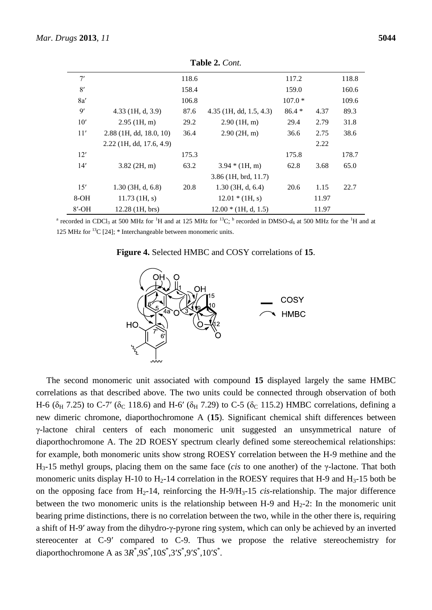|     |                            |       | <b>Table 2.</b> Cont.     |          |      |       |
|-----|----------------------------|-------|---------------------------|----------|------|-------|
| 7'  |                            | 118.6 |                           | 117.2    |      | 118.8 |
| 8'  |                            | 158.4 |                           | 159.0    |      | 160.6 |
| 8a' |                            | 106.8 |                           | $107.0*$ |      | 109.6 |
| 9'  | $4.33$ (1H, d, 3.9)        | 87.6  | $4.35$ (1H, dd, 1.5, 4.3) | $86.4*$  | 4.37 | 89.3  |
| 10' | $2.95$ (1H, m)             | 29.2  | 2.90(1H, m)               | 29.4     | 2.79 | 31.8  |
| 11' | $2.88$ (1H, dd, 18.0, 10)  | 36.4  | 2.90(2H, m)               | 36.6     | 2.75 | 38.6  |
|     | $2.22$ (1H, dd, 17.6, 4.9) |       |                           |          | 2.22 |       |
| 12' |                            | 175.3 |                           | 175.8    |      | 178.7 |
| 14' | $3.82$ (2H, m)             | 63.2  | $3.94*(1H, m)$            | 62.8     | 3.68 | 65.0  |
|     |                            |       | $3.86$ (1H, brd, 11.7)    |          |      |       |

**Table 2.** *Cont.*

<sup>a</sup> recorded in CDCl<sub>3</sub> at 500 MHz for <sup>1</sup>H and at 125 MHz for <sup>13</sup>C; <sup>b</sup> recorded in DMSO- $d_6$  at 500 MHz for the <sup>1</sup>H and at 125 MHz for  $^{13}C$  [24]; \* Interchangeable between monomeric units.

15′ 1.30 (3H, d, 6.8) 20.8 1.30 (3H, d, 6.4) 20.6 1.15 22.7

8-OH 11.73 (1H, s) 12.01 \* (1H, s) 11.97 8'-OH 12.28 (1H, brs) 12.00 \* (1H, d, 1.5) 11.97





The second monomeric unit associated with compound **15** displayed largely the same HMBC correlations as that described above. The two units could be connected through observation of both H-6 ( $\delta_H$  7.25) to C-7' ( $\delta_C$  118.6) and H-6' ( $\delta_H$  7.29) to C-5 ( $\delta_C$  115.2) HMBC correlations, defining a new dimeric chromone, diaporthochromone A (**15**). Significant chemical shift differences between γ-lactone chiral centers of each monomeric unit suggested an unsymmetrical nature of diaporthochromone A. The 2D ROESY spectrum clearly defined some stereochemical relationships: for example, both monomeric units show strong ROESY correlation between the H-9 methine and the H3-15 methyl groups, placing them on the same face (*cis* to one another) of the γ-lactone. That both monomeric units display H-10 to  $H_2$ -14 correlation in the ROESY requires that H-9 and H<sub>3</sub>-15 both be on the opposing face from  $H_2$ -14, reinforcing the H-9/H<sub>3</sub>-15 *cis*-relationship. The major difference between the two monomeric units is the relationship between H-9 and  $H_2$ -2: In the monomeric unit bearing prime distinctions, there is no correlation between the two, while in the other there is, requiring a shift of H-9′ away from the dihydro-γ-pyrone ring system, which can only be achieved by an inverted stereocenter at C-9′ compared to C-9. Thus we propose the relative stereochemistry for diaporthochromone A as  $3R^*$ ,9*S*<sup>\*</sup>,10*S*<sup>\*</sup>,3′*S*<sup>\*</sup>,9′*S*<sup>\*</sup>,10′*S*<sup>\*</sup>.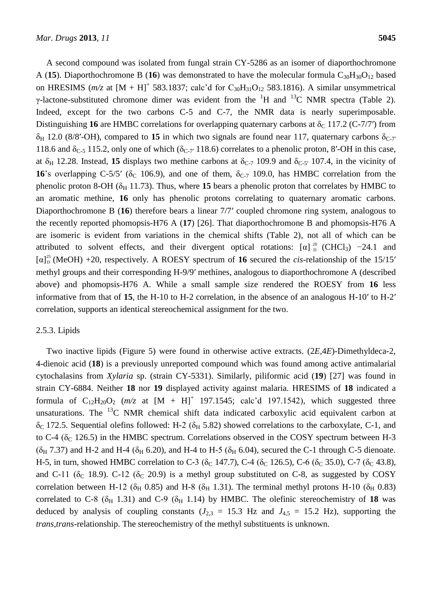A second compound was isolated from fungal strain CY-5286 as an isomer of diaporthochromone A (15). Diaporthochromone B (16) was demonstrated to have the molecular formula  $C_{30}H_{30}O_{12}$  based on HRESIMS ( $m/z$  at  $[M + H]^+$  583.1837; calc'd for C<sub>30</sub>H<sub>31</sub>O<sub>12</sub> 583.1816). A similar unsymmetrical γ-lactone-substituted chromone dimer was evident from the <sup>1</sup>H and <sup>13</sup>C NMR spectra (Table 2). Indeed, except for the two carbons C-5 and C-7, the NMR data is nearly superimposable. Distinguishing 16 are HMBC correlations for overlapping quaternary carbons at  $\delta_c$  117.2 (C-7/7') from  $\delta_H$  12.0 (8/8′-OH), compared to 15 in which two signals are found near 117, quaternary carbons  $\delta_{C-7'}$ 118.6 and  $\delta_{C-5}$  115.2, only one of which ( $\delta_{C-7'}$  118.6) correlates to a phenolic proton, 8'-OH in this case, at  $\delta_H$  12.28. Instead, 15 displays two methine carbons at  $\delta_{C-7}$  109.9 and  $\delta_{C-5'}$  107.4, in the vicinity of **16**'s overlapping C-5/5' ( $\delta$ <sub>C</sub> 106.9), and one of them,  $\delta$ <sub>C-7</sub> 109.0, has HMBC correlation from the phenolic proton 8-OH ( $\delta$ <sub>H</sub> 11.73). Thus, where 15 bears a phenolic proton that correlates by HMBC to an aromatic methine, **16** only has phenolic protons correlating to quaternary aromatic carbons. Diaporthochromone B (**16**) therefore bears a linear 7/7′ coupled chromone ring system, analogous to the recently reported phomopsis-H76 A (**17**) [26]. That diaporthochromone B and phomopsis-H76 A are isomeric is evident from variations in the chemical shifts (Table 2), not all of which can be attributed to solvent effects, and their divergent optical rotations:  $\lbrack \alpha \rbrack^{20}$  (CHCl<sub>3</sub>) −24.1 and  $[\alpha]_D^{25}$  (MeOH) +20, respectively. A ROESY spectrum of 16 secured the *cis*-relationship of the 15/15' methyl groups and their corresponding H-9/9′ methines, analogous to diaporthochromone A (described above) and phomopsis-H76 A. While a small sample size rendered the ROESY from **16** less informative from that of **15**, the H-10 to H-2 correlation, in the absence of an analogous H-10′ to H-2′ correlation, supports an identical stereochemical assignment for the two.

#### 2.5.3. Lipids

Two inactive lipids (Figure 5) were found in otherwise active extracts. (2*E*,4*E*)-Dimethyldeca-2, 4-dienoic acid (**18**) is a previously unreported compound which was found among active antimalarial cytochalasins from *Xylaria* sp. (strain CY-5331). Similarly, piliformic acid (**19**) [27] was found in strain CY-6884. Neither **18** nor **19** displayed activity against malaria. HRESIMS of **18** indicated a formula of  $C_{12}H_{20}O_2$  ( $m/z$  at  $[M + H]^+$  197.1545; calc'd 197.1542), which suggested three unsaturations. The  $^{13}$ C NMR chemical shift data indicated carboxylic acid equivalent carbon at  $\delta_{\rm C}$  172.5. Sequential olefins followed: H-2 ( $\delta_{\rm H}$  5.82) showed correlations to the carboxylate, C-1, and to C-4 ( $\delta$ <sub>C</sub> 126.5) in the HMBC spectrum. Correlations observed in the COSY spectrum between H-3  $(\delta_H 7.37)$  and H-2 and H-4 ( $\delta_H$  6.20), and H-4 to H-5 ( $\delta_H$  6.04), secured the C-1 through C-5 dienoate. H-5, in turn, showed HMBC correlation to C-3 ( $\delta_C$  147.7), C-4 ( $\delta_C$  126.5), C-6 ( $\delta_C$  35.0), C-7 ( $\delta_C$  43.8), and C-11 ( $\delta$ <sub>C</sub> 18.9). C-12 ( $\delta$ <sub>C</sub> 20.9) is a methyl group substituted on C-8, as suggested by COSY correlation between H-12 ( $\delta$ <sub>H</sub> 0.85) and H-8 ( $\delta$ <sub>H</sub> 1.31). The terminal methyl protons H-10 ( $\delta$ <sub>H</sub> 0.83) correlated to C-8 ( $\delta_H$  1.31) and C-9 ( $\delta_H$  1.14) by HMBC. The olefinic stereochemistry of 18 was deduced by analysis of coupling constants  $(J_{2,3} = 15.3 \text{ Hz}$  and  $J_{4,5} = 15.2 \text{ Hz}$ ), supporting the *trans*,*trans*-relationship. The stereochemistry of the methyl substituents is unknown.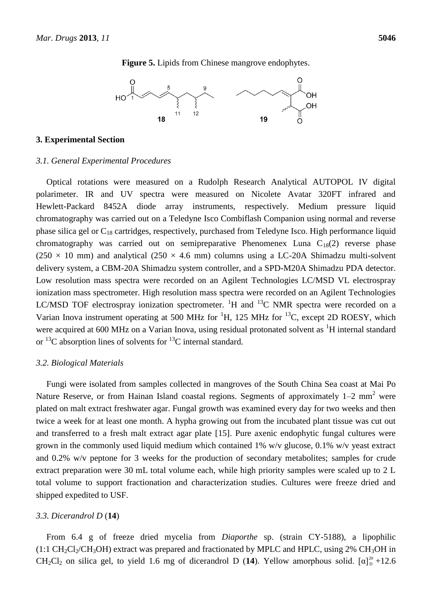**Figure 5.** Lipids from Chinese mangrove endophytes.



#### **3. Experimental Section**

#### *3.1. General Experimental Procedures*

Optical rotations were measured on a Rudolph Research Analytical AUTOPOL IV digital polarimeter. IR and UV spectra were measured on Nicolete Avatar 320FT infrared and Hewlett-Packard 8452A diode array instruments, respectively. Medium pressure liquid chromatography was carried out on a Teledyne Isco Combiflash Companion using normal and reverse phase silica gel or C<sup>18</sup> cartridges, respectively, purchased from Teledyne Isco. High performance liquid chromatography was carried out on semipreparative Phenomenex Luna  $C_{18}(2)$  reverse phase  $(250 \times 10 \text{ mm})$  and analytical  $(250 \times 4.6 \text{ mm})$  columns using a LC-20A Shimadzu multi-solvent delivery system, a CBM-20A Shimadzu system controller, and a SPD-M20A Shimadzu PDA detector. Low resolution mass spectra were recorded on an Agilent Technologies LC/MSD VL electrospray ionization mass spectrometer. High resolution mass spectra were recorded on an Agilent Technologies LC/MSD TOF electrospray ionization spectrometer. <sup>1</sup>H and <sup>13</sup>C NMR spectra were recorded on a Varian Inova instrument operating at 500 MHz for  ${}^{1}H$ , 125 MHz for  ${}^{13}C$ , except 2D ROESY, which were acquired at 600 MHz on a Varian Inova, using residual protonated solvent as <sup>1</sup>H internal standard or  $^{13}$ C absorption lines of solvents for  $^{13}$ C internal standard.

#### *3.2. Biological Materials*

Fungi were isolated from samples collected in mangroves of the South China Sea coast at Mai Po Nature Reserve, or from Hainan Island coastal regions. Segments of approximately  $1-2$  mm<sup>2</sup> were plated on malt extract freshwater agar. Fungal growth was examined every day for two weeks and then twice a week for at least one month. A hypha growing out from the incubated plant tissue was cut out and transferred to a fresh malt extract agar plate [15]. Pure axenic endophytic fungal cultures were grown in the commonly used liquid medium which contained 1% w/v glucose, 0.1% w/v yeast extract and 0.2% w/v peptone for 3 weeks for the production of secondary metabolites; samples for crude extract preparation were 30 mL total volume each, while high priority samples were scaled up to 2 L total volume to support fractionation and characterization studies. Cultures were freeze dried and shipped expedited to USF.

#### *3.3. Dicerandrol D* (**14**)

From 6.4 g of freeze dried mycelia from *Diaporthe* sp. (strain CY-5188), a lipophilic  $(1:1 \text{ CH}_2\text{Cl}_2/\text{CH}_3\text{OH})$  extract was prepared and fractionated by MPLC and HPLC, using 2% CH<sub>3</sub>OH in CH<sub>2</sub>Cl<sub>2</sub> on silica gel, to yield 1.6 mg of dicerandrol D (14). Yellow amorphous solid.  $[\alpha]_D^{20} + 12.6$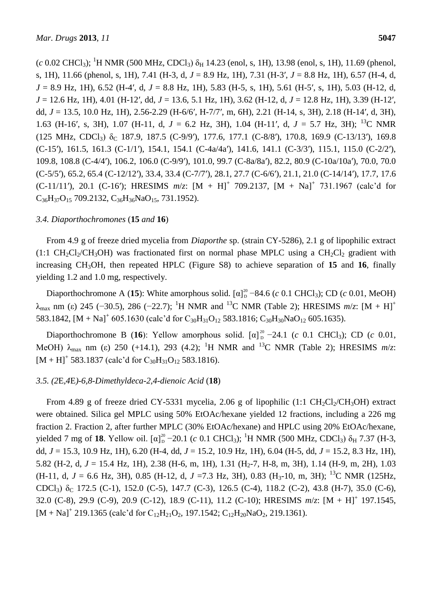$(c \ 0.02 \ \text{CHCl}_3)$ ; <sup>1</sup>H NMR (500 MHz, CDCl<sub>3</sub>)  $\delta_H$  14.23 (enol, s, 1H), 13.98 (enol, s, 1H), 11.69 (phenol, s, 1H), 11.66 (phenol, s, 1H), 7.41 (H-3, d, *J* = 8.9 Hz, 1H), 7.31 (H-3′, *J* = 8.8 Hz, 1H), 6.57 (H-4, d, *J* = 8.9 Hz, 1H), 6.52 (H-4′, d, *J* = 8.8 Hz, 1H), 5.83 (H-5, s, 1H), 5.61 (H-5′, s, 1H), 5.03 (H-12, d, *J* = 12.6 Hz, 1H), 4.01 (H-12′, dd, *J* = 13.6, 5.1 Hz, 1H), 3.62 (H-12, d, *J* = 12.8 Hz, 1H), 3.39 (H-12′, dd, *J* = 13.5, 10.0 Hz, 1H), 2.56-2.29 (H-6/6′, H-7/7′, m, 6H), 2.21 (H-14, s, 3H), 2.18 (H-14′, d, 3H), 1.63 (H-16′, s, 3H), 1.07 (H-11, d, *J* = 6.2 Hz, 3H), 1.04 (H-11′, d, *J* = 5.7 Hz, 3H); <sup>13</sup>C NMR (125 MHz, CDCl<sub>3</sub>)  $\delta$ <sub>C</sub> 187.9, 187.5 (C-9/9'), 177.6, 177.1 (C-8/8'), 170.8, 169.9 (C-13/13'), 169.8 (C-15′), 161.5, 161.3 (C-1/1′), 154.1, 154.1 (C-4a/4a′), 141.6, 141.1 (C-3/3′), 115.1, 115.0 (C-2/2′), 109.8, 108.8 (C-4/4′), 106.2, 106.0 (C-9/9′), 101.0, 99.7 (C-8a/8a′), 82.2, 80.9 (C-10a/10a′), 70.0, 70.0 (C-5/5′), 65.2, 65.4 (C-12/12′), 33.4, 33.4 (C-7/7′), 28.1, 27.7 (C-6/6′), 21.1, 21.0 (C-14/14′), 17.7, 17.6 (C-11/11'), 20.1 (C-16'); HRESIMS  $m/z$ :  $[M + H]^+$  709.2137,  $[M + Na]^+$  731.1967 (calc'd for  $C_{36}H_{37}O_{15}$  709.2132,  $C_{36}H_{36}NaO_{15}$ , 731.1952).

## *3.4. Diaporthochromones* (**15** *and* **16**)

From 4.9 g of freeze dried mycelia from *Diaporthe* sp. (strain CY-5286), 2.1 g of lipophilic extract  $(1:1 \text{ CH}_2\text{Cl}_2/\text{CH}_3\text{OH})$  was fractionated first on normal phase MPLC using a CH<sub>2</sub>Cl<sub>2</sub> gradient with increasing CH3OH, then repeated HPLC (Figure S8) to achieve separation of **15** and **16**, finally yielding 1.2 and 1.0 mg, respectively.

Diaporthochromone A (15): White amorphous solid.  $[\alpha]_D^{20}$  –84.6 (*c* 0.1 CHCl<sub>3</sub>); CD (*c* 0.01, MeOH) λ<sub>max</sub> nm (ε) 245 (-30.5), 286 (-22.7); <sup>1</sup>H NMR and <sup>13</sup>C NMR (Table 2); HRESIMS *m/z*: [M + H]<sup>+</sup> 583.1842,  $[M + Na]$ <sup>+</sup> 605.1630 (calc'd for C<sub>30</sub>H<sub>31</sub>O<sub>12</sub> 583.1816; C<sub>30</sub>H<sub>30</sub>NaO<sub>12</sub> 605.1635).

Diaporthochromone B (16): Yellow amorphous solid.  $[\alpha]_D^{20}$  –24.1 (*c* 0.1 CHCl<sub>3</sub>); CD (*c* 0.01, MeOH)  $\lambda_{\text{max}}$  nm (ε) 250 (+14.1), 293 (4.2); <sup>1</sup>H NMR and <sup>13</sup>C NMR (Table 2); HRESIMS  $m/z$ :  $[M + H]$ <sup>+</sup> 583.1837 (calc'd for C<sub>30</sub>H<sub>31</sub>O<sub>12</sub> 583.1816).

# *3.5. (2*E*,4*E*)-6,8-Dimethyldeca-2,4-dienoic Acid* (**18**)

From 4.89 g of freeze dried CY-5331 mycelia, 2.06 g of lipophilic (1:1 CH<sub>2</sub>Cl<sub>2</sub>/CH<sub>3</sub>OH) extract were obtained. Silica gel MPLC using 50% EtOAc/hexane yielded 12 fractions, including a 226 mg fraction 2. Fraction 2, after further MPLC (30% EtOAc/hexane) and HPLC using 20% EtOAc/hexane, yielded 7 mg of 18. Yellow oil.  $[α]_D^{20}$  –20.1 (*c* 0.1 CHCl<sub>3</sub>); <sup>1</sup>H NMR (500 MHz, CDCl<sub>3</sub>) δ<sub>H</sub> 7.37 (H-3, dd, *J* = 15.3, 10.9 Hz, 1H), 6.20 (H-4, dd, *J* = 15.2, 10.9 Hz, 1H), 6.04 (H-5, dd, *J* = 15.2, 8.3 Hz, 1H), 5.82 (H-2, d,  $J = 15.4$  Hz, 1H), 2.38 (H-6, m, 1H), 1.31 (H<sub>2</sub>-7, H-8, m, 3H), 1.14 (H-9, m, 2H), 1.03  $(H-11, d, J = 6.6 Hz, 3H)$ , 0.85 (H-12, d,  $J = 7.3 Hz, 3H$ ), 0.83 (H<sub>3</sub>-10, m, 3H); <sup>13</sup>C NMR (125Hz, CDCl<sub>3</sub>)  $\delta_C$  172.5 (C-1), 152.0 (C-5), 147.7 (C-3), 126.5 (C-4), 118.2 (C-2), 43.8 (H-7), 35.0 (C-6), 32.0 (C-8), 29.9 (C-9), 20.9 (C-12), 18.9 (C-11), 11.2 (C-10); HRESIMS *m*/*z*: [M + H]<sup>+</sup> 197.1545,  $[M + Na]<sup>+</sup> 219.1365$  (calc'd for C<sub>12</sub>H<sub>21</sub>O<sub>2</sub>, 197.1542; C<sub>12</sub>H<sub>20</sub>NaO<sub>2</sub>, 219.1361).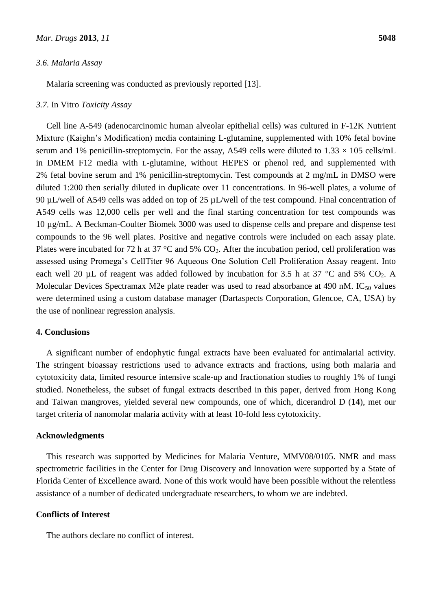#### *3.6. Malaria Assay*

Malaria screening was conducted as previously reported [13].

#### *3.7.* In Vitro *Toxicity Assay*

Cell line A-549 (adenocarcinomic human alveolar epithelial cells) was cultured in F-12K Nutrient Mixture (Kaighn's Modification) media containing L-glutamine, supplemented with 10% fetal bovine serum and 1% penicillin-streptomycin. For the assay, A549 cells were diluted to  $1.33 \times 105$  cells/mL in DMEM F12 media with L-glutamine, without HEPES or phenol red, and supplemented with 2% fetal bovine serum and 1% penicillin-streptomycin. Test compounds at 2 mg/mL in DMSO were diluted 1:200 then serially diluted in duplicate over 11 concentrations. In 96-well plates, a volume of 90 µL/well of A549 cells was added on top of 25 µL/well of the test compound. Final concentration of A549 cells was 12,000 cells per well and the final starting concentration for test compounds was 10 µg/mL. A Beckman-Coulter Biomek 3000 was used to dispense cells and prepare and dispense test compounds to the 96 well plates. Positive and negative controls were included on each assay plate. Plates were incubated for 72 h at 37  $\degree$ C and 5% CO<sub>2</sub>. After the incubation period, cell proliferation was assessed using Promega's CellTiter 96 Aqueous One Solution Cell Proliferation Assay reagent. Into each well 20 µL of reagent was added followed by incubation for 3.5 h at 37 °C and 5%  $CO<sub>2</sub>$ . A Molecular Devices Spectramax M2e plate reader was used to read absorbance at 490 nM.  $IC_{50}$  values were determined using a custom database manager (Dartaspects Corporation, Glencoe, CA, USA) by the use of nonlinear regression analysis.

## **4. Conclusions**

A significant number of endophytic fungal extracts have been evaluated for antimalarial activity. The stringent bioassay restrictions used to advance extracts and fractions, using both malaria and cytotoxicity data, limited resource intensive scale-up and fractionation studies to roughly 1% of fungi studied. Nonetheless, the subset of fungal extracts described in this paper, derived from Hong Kong and Taiwan mangroves, yielded several new compounds, one of which, dicerandrol D (**14**), met our target criteria of nanomolar malaria activity with at least 10-fold less cytotoxicity.

#### **Acknowledgments**

This research was supported by Medicines for Malaria Venture, MMV08/0105. NMR and mass spectrometric facilities in the Center for Drug Discovery and Innovation were supported by a State of Florida Center of Excellence award. None of this work would have been possible without the relentless assistance of a number of dedicated undergraduate researchers, to whom we are indebted.

#### **Conflicts of Interest**

The authors declare no conflict of interest.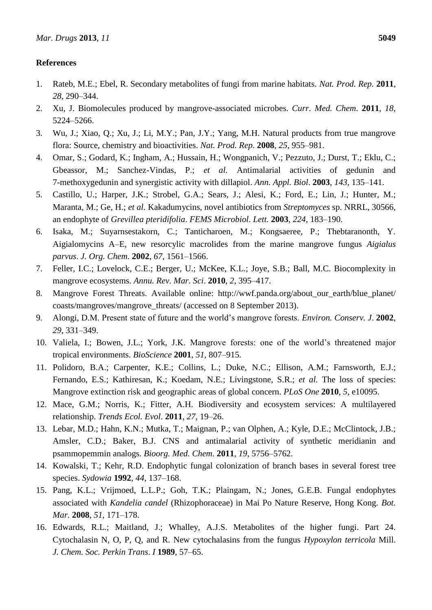# **References**

- 1. Rateb, M.E.; Ebel, R. Secondary metabolites of fungi from marine habitats. *Nat. Prod. Rep.* **2011**, *28*, 290–344.
- 2. Xu, J. Biomolecules produced by mangrove-associated microbes. *Curr. Med. Chem*. **2011**, *18*, 5224–5266.
- 3. Wu, J.; Xiao, Q.; Xu, J.; Li, M.Y.; Pan, J.Y.; Yang, M.H. Natural products from true mangrove flora: Source, chemistry and bioactivities. *Nat. Prod. Rep*. **2008**, *25*, 955–981.
- 4. Omar, S.; Godard, K.; Ingham, A.; Hussain, H.; Wongpanich, V.; Pezzuto, J.; Durst, T.; Eklu, C.; Gbeassor, M.; Sanchez-Vindas, P.; *et al.* Antimalarial activities of gedunin and 7-methoxygedunin and synergistic activity with dillapiol. *Ann. Appl. Biol*. **2003**, *143*, 135–141.
- 5. Castillo, U.; Harper, J.K.; Strobel, G.A.; Sears, J.; Alesi, K.; Ford, E.; Lin, J.; Hunter, M.; Maranta, M.; Ge, H.; *et al.* Kakadumycins, novel antibiotics from *Streptomyces* sp. NRRL, 30566, an endophyte of *Grevillea pteridifolia*. *FEMS Microbiol. Lett.* **2003**, *224*, 183–190.
- 6. Isaka, M.; Suyarnsestakorn, C.; Tanticharoen, M.; Kongsaeree, P.; Thebtaranonth, Y. Aigialomycins A–E, new resorcylic macrolides from the marine mangrove fungus *Aigialus parvus*. *J. Org. Chem.* **2002**, *67*, 1561–1566.
- 7. Feller, I.C.; Lovelock, C.E.; Berger, U.; McKee, K.L.; Joye, S.B.; Ball, M.C. Biocomplexity in mangrove ecosystems. *Annu. Rev. Mar. Sci*. **2010**, *2*, 395–417.
- 8. Mangrove Forest Threats. Available online: http://wwf.panda.org/about\_our\_earth/blue\_planet/ coasts/mangroves/mangrove\_threats/ (accessed on 8 September 2013).
- 9. Alongi, D.M. Present state of future and the world's mangrove forests. *Environ. Conserv. J*. **2002**, *29*, 331–349.
- 10. Valiela, I.; Bowen, J.L.; York, J.K. Mangrove forests: one of the world's threatened major tropical environments. *BioScience* **2001**, *51*, 807–915.
- 11. Polidoro, B.A.; Carpenter, K.E.; Collins, L.; Duke, N.C.; Ellison, A.M.; Farnsworth, E.J.; Fernando, E.S.; Kathiresan, K.; Koedam, N.E.; Livingstone, S.R.; *et al.* The loss of species: Mangrove extinction risk and geographic areas of global concern. *PLoS One* **2010**, *5*, e10095.
- 12. Mace, G.M.; Norris, K.; Fitter, A.H. Biodiversity and ecosystem services: A multilayered relationship. *Trends Ecol. Evol*. **2011**, *27*, 19–26.
- 13. Lebar, M.D.; Hahn, K.N.; Mutka, T.; Maignan, P.; van Olphen, A.; Kyle, D.E.; McClintock, J.B.; Amsler, C.D.; Baker, B.J. CNS and antimalarial activity of synthetic meridianin and psammopemmin analogs. *Bioorg. Med. Chem*. **2011**, *19*, 5756–5762.
- 14. Kowalski, T.; Kehr, R.D. Endophytic fungal colonization of branch bases in several forest tree species. *Sydowia* **1992**, *44*, 137–168.
- 15. Pang, K.L.; Vrijmoed, L.L.P.; Goh, T.K.; Plaingam, N.; Jones, G.E.B. Fungal endophytes associated with *Kandelia candel* (Rhizophoraceae) in Mai Po Nature Reserve, Hong Kong. *Bot. Mar.* **2008**, *51*, 171–178.
- 16. Edwards, R.L.; Maitland, J.; Whalley, A.J.S. Metabolites of the higher fungi. Part 24. Cytochalasin N, O, P, Q, and R. New cytochalasins from the fungus *Hypoxylon terricola* Mill. *J. Chem. Soc. Perkin Trans*. *I* **1989**, 57–65.